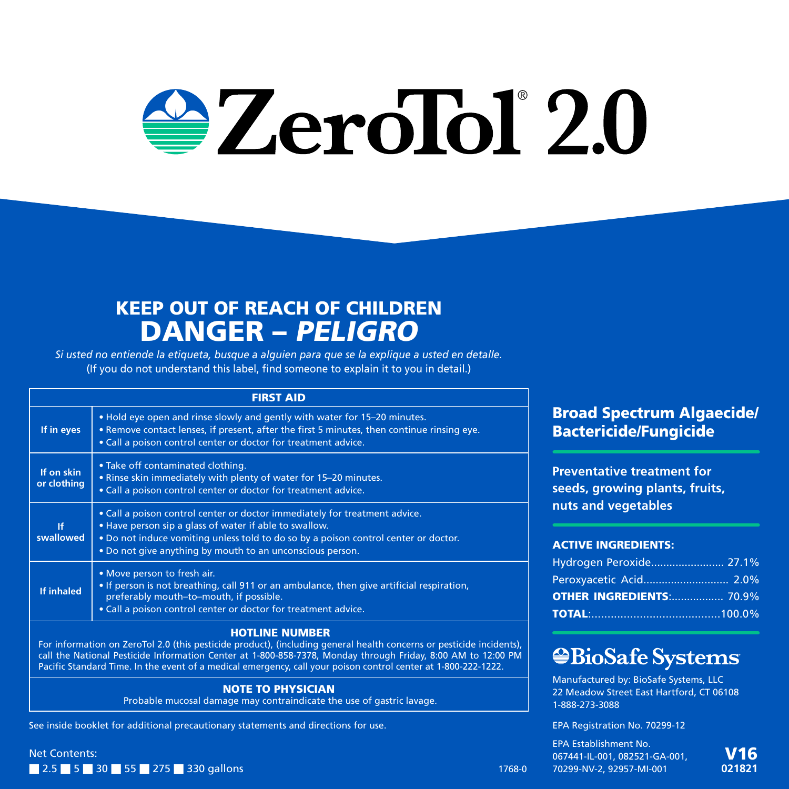# $\triangle$  ZeroTol $^{\circ}$ 2.0

## KEEP OUT OF REACH OF CHILDREN DANGER – PELIGRO

*Si usted no entiende la etiqueta, busque a alguien para que se la explique a usted en detalle.* (If you do not understand this label, find someone to explain it to you in detail.)

#### FIRST AID

| If in eyes                | . Hold eye open and rinse slowly and gently with water for 15-20 minutes.<br>. Remove contact lenses, if present, after the first 5 minutes, then continue rinsing eye.<br>• Call a poison control center or doctor for treatment advice.                                                |  |
|---------------------------|------------------------------------------------------------------------------------------------------------------------------------------------------------------------------------------------------------------------------------------------------------------------------------------|--|
| If on skin<br>or clothing | . Take off contaminated clothing.<br>• Rinse skin immediately with plenty of water for 15-20 minutes.<br>• Call a poison control center or doctor for treatment advice.                                                                                                                  |  |
| ١f<br>swallowed           | . Call a poison control center or doctor immediately for treatment advice.<br>. Have person sip a glass of water if able to swallow.<br>. Do not induce vomiting unless told to do so by a poison control center or doctor.<br>. Do not give anything by mouth to an unconscious person. |  |
| If inhaled                | • Move person to fresh air.<br>• If person is not breathing, call 911 or an ambulance, then give artificial respiration,<br>preferably mouth-to-mouth, if possible.<br>• Call a poison control center or doctor for treatment advice.                                                    |  |
|                           |                                                                                                                                                                                                                                                                                          |  |

#### HOTLINE NUMBER

For information on ZeroTol 2.0 (this pesticide product), (including general health concerns or pesticide incidents), call the National Pesticide Information Center at 1-800-858-7378, Monday through Friday, 8:00 AM to 12:00 PM Pacific Standard Time. In the event of a medical emergency, call your poison control center at 1-800-222-1222.

#### NOTE TO PHYSICIAN

Probable mucosal damage may contraindicate the use of gastric lavage.

See inside booklet for additional precautionary statements and directions for use.

Net Contents: ■ 2.5 ■ 5 ■ 30 ■ 55 ■ 275 ■ 330 gallons Broad Spectrum Algaecide/ Bactericide/Fungicide

**Preventative treatment for seeds, growing plants, fruits, nuts and vegetables**

#### ACTIVE INGREDIENTS:

| Hydrogen Peroxide 27.1%         |  |
|---------------------------------|--|
| Peroxyacetic Acid 2.0%          |  |
| <b>OTHER INGREDIENTS: 70.9%</b> |  |
|                                 |  |

## *<b>*BioSafe Systems

Manufactured by: BioSafe Systems, LLC 22 Meadow Street East Hartford, CT 06108 1-888-273-3088

EPA Registration No. 70299-12

EPA Establishment No. 067441-IL-001, 082521-GA-001, 1768-0 70299-NV-2, 92957-MI-001

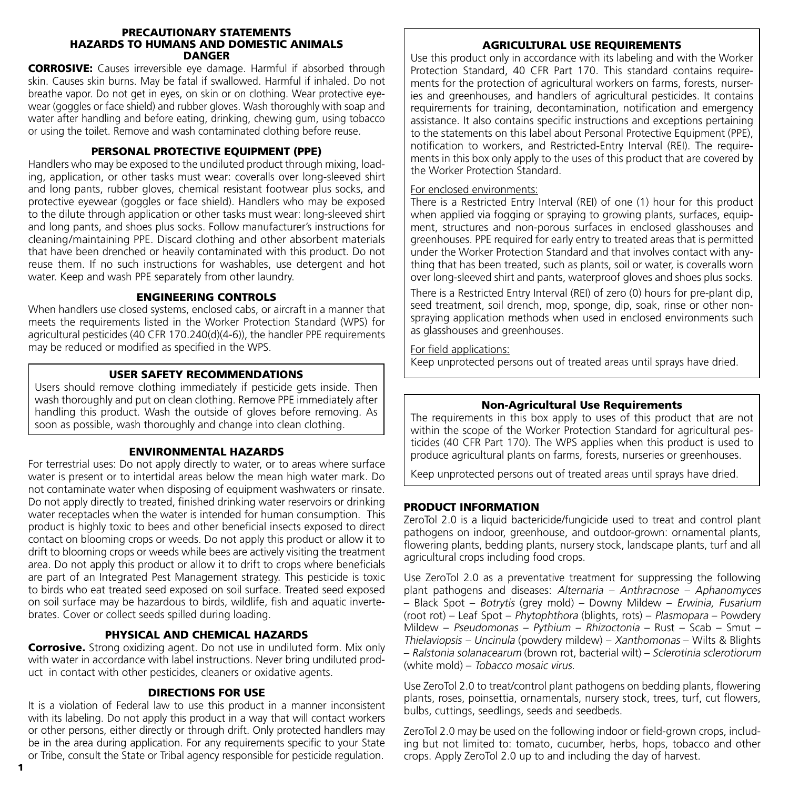#### PRECAUTIONARY STATEMENTS HAZARDS TO HUMANS AND DOMESTIC ANIMALS DANGER

CORROSIVE: Causes irreversible eye damage. Harmful if absorbed through skin. Causes skin burns. May be fatal if swallowed. Harmful if inhaled. Do not breathe vapor. Do not get in eyes, on skin or on clothing. Wear protective eyewear (goggles or face shield) and rubber gloves. Wash thoroughly with soap and water after handling and before eating, drinking, chewing gum, using tobacco or using the toilet. Remove and wash contaminated clothing before reuse.

#### PERSONAL PROTECTIVE EQUIPMENT (PPE)

Handlers who may be exposed to the undiluted product through mixing, loading, application, or other tasks must wear: coveralls over long-sleeved shirt and long pants, rubber gloves, chemical resistant footwear plus socks, and protective eyewear (goggles or face shield). Handlers who may be exposed to the dilute through application or other tasks must wear: long-sleeved shirt and long pants, and shoes plus socks. Follow manufacturer's instructions for cleaning/maintaining PPE. Discard clothing and other absorbent materials that have been drenched or heavily contaminated with this product. Do not reuse them. If no such instructions for washables, use detergent and hot water. Keep and wash PPE separately from other laundry.

#### ENGINEERING CONTROLS

When handlers use closed systems, enclosed cabs, or aircraft in a manner that meets the requirements listed in the Worker Protection Standard (WPS) for agricultural pesticides (40 CFR 170.240(d)(4-6)), the handler PPE requirements may be reduced or modified as specified in the WPS.

#### USER SAFETY RECOMMENDATIONS

Users should remove clothing immediately if pesticide gets inside. Then wash thoroughly and put on clean clothing. Remove PPE immediately after handling this product. Wash the outside of gloves before removing. As soon as possible, wash thoroughly and change into clean clothing.

#### ENVIRONMENTAL HAZARDS

For terrestrial uses: Do not apply directly to water, or to areas where surface water is present or to intertidal areas below the mean high water mark. Do not contaminate water when disposing of equipment washwaters or rinsate. Do not apply directly to treated, finished drinking water reservoirs or drinking water receptacles when the water is intended for human consumption. This product is highly toxic to bees and other beneficial insects exposed to direct contact on blooming crops or weeds. Do not apply this product or allow it to drift to blooming crops or weeds while bees are actively visiting the treatment area. Do not apply this product or allow it to drift to crops where beneficials are part of an Integrated Pest Management strategy. This pesticide is toxic to birds who eat treated seed exposed on soil surface. Treated seed exposed on soil surface may be hazardous to birds, wildlife, fish and aquatic invertebrates. Cover or collect seeds spilled during loading.

#### PHYSICAL AND CHEMICAL HAZARDS

Corrosive. Strong oxidizing agent. Do not use in undiluted form. Mix only with water in accordance with label instructions. Never bring undiluted product in contact with other pesticides, cleaners or oxidative agents.

#### DIRECTIONS FOR USE

It is a violation of Federal law to use this product in a manner inconsistent with its labeling. Do not apply this product in a way that will contact workers or other persons, either directly or through drift. Only protected handlers may be in the area during application. For any requirements specific to your State or Tribe, consult the State or Tribal agency responsible for pesticide regulation.

#### AGRICULTURAL USE REQUIREMENTS

Use this product only in accordance with its labeling and with the Worker Protection Standard, 40 CFR Part 170. This standard contains requirements for the protection of agricultural workers on farms, forests, nurseries and greenhouses, and handlers of agricultural pesticides. It contains requirements for training, decontamination, notification and emergency assistance. It also contains specific instructions and exceptions pertaining to the statements on this label about Personal Protective Equipment (PPE), notification to workers, and Restricted-Entry Interval (REI). The requirements in this box only apply to the uses of this product that are covered by the Worker Protection Standard.

#### For enclosed environments:

There is a Restricted Entry Interval (REI) of one (1) hour for this product when applied via fogging or spraying to growing plants, surfaces, equipment, structures and non-porous surfaces in enclosed glasshouses and greenhouses. PPE required for early entry to treated areas that is permitted under the Worker Protection Standard and that involves contact with anything that has been treated, such as plants, soil or water, is coveralls worn over long-sleeved shirt and pants, waterproof gloves and shoes plus socks.

There is a Restricted Entry Interval (REI) of zero (0) hours for pre-plant dip, seed treatment, soil drench, mop, sponge, dip, soak, rinse or other nonspraying application methods when used in enclosed environments such as glasshouses and greenhouses.

#### For field applications:

Keep unprotected persons out of treated areas until sprays have dried.

#### Non-Agricultural Use Requirements

The requirements in this box apply to uses of this product that are not within the scope of the Worker Protection Standard for agricultural pesticides (40 CFR Part 170). The WPS applies when this product is used to produce agricultural plants on farms, forests, nurseries or greenhouses.

Keep unprotected persons out of treated areas until sprays have dried.

#### PRODUCT INFORMATION

ZeroTol 2.0 is a liquid bactericide/fungicide used to treat and control plant pathogens on indoor, greenhouse, and outdoor-grown: ornamental plants, flowering plants, bedding plants, nursery stock, landscape plants, turf and all agricultural crops including food crops.

Use ZeroTol 2.0 as a preventative treatment for suppressing the following plant pathogens and diseases: Alternaria – Anthracnose – Aphanomyces – Black Spot – Botrytis (grey mold) – Downy Mildew – Erwinia, Fusarium (root rot) – Leaf Spot – Phytophthora (blights, rots) – Plasmopara – Powdery Mildew – Pseudomonas – Pythium – Rhizoctonia – Rust – Scab – Smut – Thielaviopsis – Uncinula (powdery mildew) – Xanthomonas – Wilts & Blights – Ralstonia solanacearum (brown rot, bacterial wilt) – Sclerotinia sclerotiorum (white mold) – Tobacco mosaic virus.

Use ZeroTol 2.0 to treat/control plant pathogens on bedding plants, flowering plants, roses, poinsettia, ornamentals, nursery stock, trees, turf, cut flowers, bulbs, cuttings, seedlings, seeds and seedbeds.

ZeroTol 2.0 may be used on the following indoor or field-grown crops, including but not limited to: tomato, cucumber, herbs, hops, tobacco and other crops. Apply ZeroTol 2.0 up to and including the day of harvest.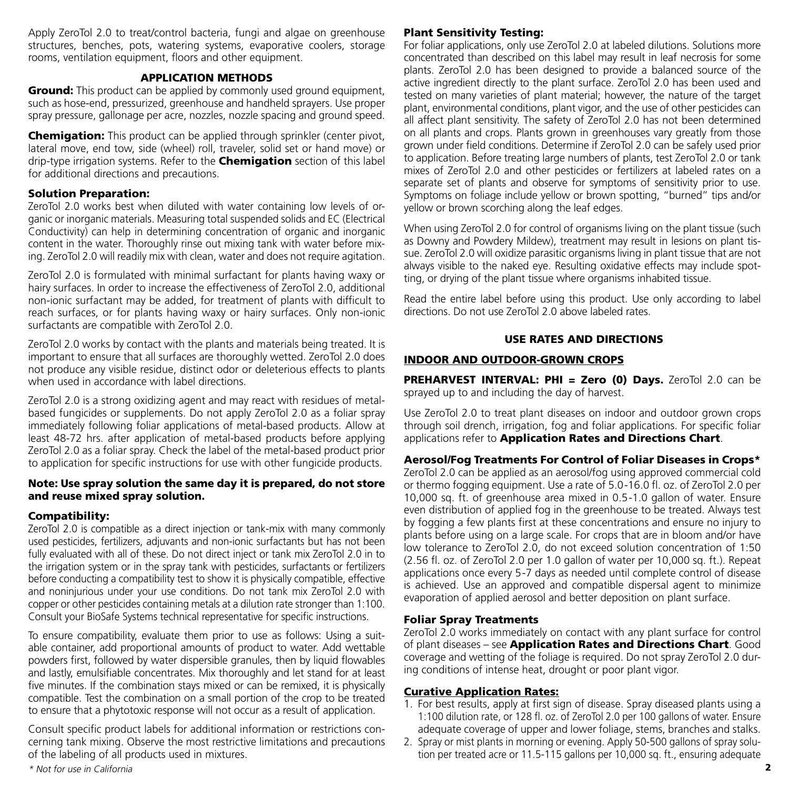Apply ZeroTol 2.0 to treat/control bacteria, fungi and algae on greenhouse structures, benches, pots, watering systems, evaporative coolers, storage rooms, ventilation equipment, floors and other equipment.

#### APPLICATION METHODS

**Ground:** This product can be applied by commonly used ground equipment, such as hose-end, pressurized, greenhouse and handheld sprayers. Use proper spray pressure, gallonage per acre, nozzles, nozzle spacing and ground speed.

**Chemigation:** This product can be applied through sprinkler (center pivot, lateral move, end tow, side (wheel) roll, traveler, solid set or hand move) or drip-type irrigation systems. Refer to the **Chemigation** section of this label for additional directions and precautions.

#### Solution Preparation:

ZeroTol 2.0 works best when diluted with water containing low levels of organic or inorganic materials. Measuring total suspended solids and EC (Electrical Conductivity) can help in determining concentration of organic and inorganic content in the water. Thoroughly rinse out mixing tank with water before mixing. ZeroTol 2.0 will readily mix with clean, water and does not require agitation.

ZeroTol 2.0 is formulated with minimal surfactant for plants having waxy or hairy surfaces. In order to increase the effectiveness of ZeroTol 2.0, additional non-ionic surfactant may be added, for treatment of plants with difficult to reach surfaces, or for plants having waxy or hairy surfaces. Only non-ionic surfactants are compatible with ZeroTol 2.0.

ZeroTol 2.0 works by contact with the plants and materials being treated. It is important to ensure that all surfaces are thoroughly wetted. ZeroTol 2.0 does not produce any visible residue, distinct odor or deleterious effects to plants when used in accordance with label directions.

ZeroTol 2.0 is a strong oxidizing agent and may react with residues of metalbased fungicides or supplements. Do not apply ZeroTol 2.0 as a foliar spray immediately following foliar applications of metal-based products. Allow at least 48-72 hrs. after application of metal-based products before applying ZeroTol 2.0 as a foliar spray. Check the label of the metal-based product prior to application for specific instructions for use with other fungicide products.

#### Note: Use spray solution the same day it is prepared, do not store and reuse mixed spray solution.

#### Compatibility:

ZeroTol 2.0 is compatible as a direct injection or tank-mix with many commonly used pesticides, fertilizers, adjuvants and non-ionic surfactants but has not been fully evaluated with all of these. Do not direct inject or tank mix ZeroTol 2.0 in to the irrigation system or in the spray tank with pesticides, surfactants or fertilizers before conducting a compatibility test to show it is physically compatible, effective and noninjurious under your use conditions. Do not tank mix ZeroTol 2.0 with copper or other pesticides containing metals at a dilution rate stronger than 1:100. Consult your BioSafe Systems technical representative for specific instructions.

To ensure compatibility, evaluate them prior to use as follows: Using a suitable container, add proportional amounts of product to water. Add wettable powders first, followed by water dispersible granules, then by liquid flowables and lastly, emulsifiable concentrates. Mix thoroughly and let stand for at least five minutes. If the combination stays mixed or can be remixed, it is physically compatible. Test the combination on a small portion of the crop to be treated to ensure that a phytotoxic response will not occur as a result of application.

Consult specific product labels for additional information or restrictions concerning tank mixing. Observe the most restrictive limitations and precautions of the labeling of all products used in mixtures.

#### Plant Sensitivity Testing:

For foliar applications, only use ZeroTol 2.0 at labeled dilutions. Solutions more concentrated than described on this label may result in leaf necrosis for some plants. ZeroTol 2.0 has been designed to provide a balanced source of the active ingredient directly to the plant surface. ZeroTol 2.0 has been used and tested on many varieties of plant material; however, the nature of the target plant, environmental conditions, plant vigor, and the use of other pesticides can all affect plant sensitivity. The safety of ZeroTol 2.0 has not been determined on all plants and crops. Plants grown in greenhouses vary greatly from those grown under field conditions. Determine if ZeroTol 2.0 can be safely used prior to application. Before treating large numbers of plants, test ZeroTol 2.0 or tank mixes of ZeroTol 2.0 and other pesticides or fertilizers at labeled rates on a separate set of plants and observe for symptoms of sensitivity prior to use. Symptoms on foliage include yellow or brown spotting, "burned" tips and/or yellow or brown scorching along the leaf edges.

When using ZeroTol 2.0 for control of organisms living on the plant tissue (such as Downy and Powdery Mildew), treatment may result in lesions on plant tissue. ZeroTol 2.0 will oxidize parasitic organisms living in plant tissue that are not always visible to the naked eye. Resulting oxidative effects may include spotting, or drying of the plant tissue where organisms inhabited tissue.

Read the entire label before using this product. Use only according to label directions. Do not use ZeroTol 2.0 above labeled rates.

#### USE RATES AND DIRECTIONS

#### INDOOR AND OUTDOOR-GROWN CROPS

PREHARVEST INTERVAL: PHI = Zero (0) Days. ZeroTol 2.0 can be sprayed up to and including the day of harvest.

Use ZeroTol 2.0 to treat plant diseases on indoor and outdoor grown crops through soil drench, irrigation, fog and foliar applications. For specific foliar applications refer to **Application Rates and Directions Chart**.

#### Aerosol/Fog Treatments For Control of Foliar Diseases in Crops\*

ZeroTol 2.0 can be applied as an aerosol/fog using approved commercial cold or thermo fogging equipment. Use a rate of 5.0-16.0 fl. oz. of ZeroTol 2.0 per 10,000 sq. ft. of greenhouse area mixed in 0.5-1.0 gallon of water. Ensure even distribution of applied fog in the greenhouse to be treated. Always test by fogging a few plants first at these concentrations and ensure no injury to plants before using on a large scale. For crops that are in bloom and/or have low tolerance to ZeroTol 2.0, do not exceed solution concentration of 1:50 (2.56 fl. oz. of ZeroTol 2.0 per 1.0 gallon of water per 10,000 sq. ft.). Repeat applications once every 5-7 days as needed until complete control of disease is achieved. Use an approved and compatible dispersal agent to minimize evaporation of applied aerosol and better deposition on plant surface.

#### Foliar Spray Treatments

ZeroTol 2.0 works immediately on contact with any plant surface for control of plant diseases – see **Application Rates and Directions Chart**. Good coverage and wetting of the foliage is required. Do not spray ZeroTol 2.0 during conditions of intense heat, drought or poor plant vigor.

#### Curative Application Rates:

- 1. For best results, apply at first sign of disease. Spray diseased plants using a 1:100 dilution rate, or 128 fl. oz. of ZeroTol 2.0 per 100 gallons of water. Ensure adequate coverage of upper and lower foliage, stems, branches and stalks.
- 2. Spray or mist plants in morning or evening. Apply 50-500 gallons of spray solution per treated acre or 11.5-115 gallons per 10,000 sq. ft., ensuring adequate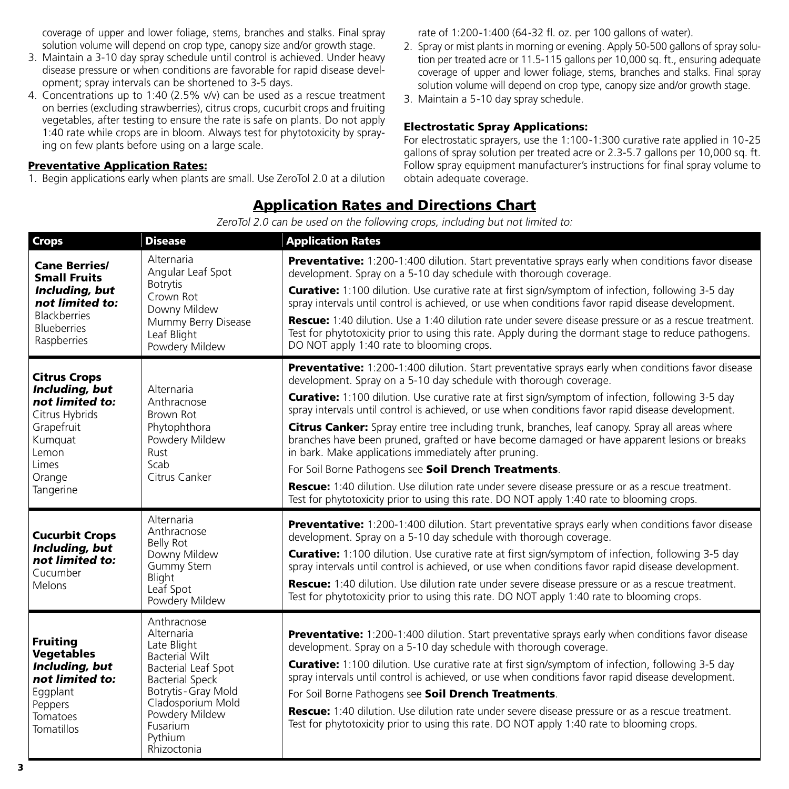coverage of upper and lower foliage, stems, branches and stalks. Final spray solution volume will depend on crop type, canopy size and/or growth stage.

- 3. Maintain a 3-10 day spray schedule until control is achieved. Under heavy disease pressure or when conditions are favorable for rapid disease development; spray intervals can be shortened to 3-5 days.
- 4. Concentrations up to 1:40 (2.5% v/v) can be used as a rescue treatment on berries (excluding strawberries), citrus crops, cucurbit crops and fruiting vegetables, after testing to ensure the rate is safe on plants. Do not apply 1:40 rate while crops are in bloom. Always test for phytotoxicity by spraying on few plants before using on a large scale.

#### Preventative Application Rates:

1. Begin applications early when plants are small. Use ZeroTol 2.0 at a dilution

rate of 1:200-1:400 (64-32 fl. oz. per 100 gallons of water).

- 2. Spray or mist plants in morning or evening. Apply 50-500 gallons of spray solution per treated acre or 11.5-115 gallons per 10,000 sq. ft., ensuring adequate coverage of upper and lower foliage, stems, branches and stalks. Final spray solution volume will depend on crop type, canopy size and/or growth stage.
- 3. Maintain a 5-10 day spray schedule.

#### Electrostatic Spray Applications:

For electrostatic sprayers, use the 1:100-1:300 curative rate applied in 10-25 gallons of spray solution per treated acre or 2.3-5.7 gallons per 10,000 sq. ft. Follow spray equipment manufacturer's instructions for final spray volume to obtain adequate coverage.

#### Application Rates and Directions Chart

ZeroTol 2.0 can be used on the following crops, including but not limited to:

| <b>Crops</b>                                                                                                                                 | <b>Disease</b>                                                                                                                                                                                                                 | <b>Application Rates</b>                                                                                                                                                                                                                                                                                                                                                                                                                                                                                                                                                                                                                                                                                                                                                                                                                                                                                                    |
|----------------------------------------------------------------------------------------------------------------------------------------------|--------------------------------------------------------------------------------------------------------------------------------------------------------------------------------------------------------------------------------|-----------------------------------------------------------------------------------------------------------------------------------------------------------------------------------------------------------------------------------------------------------------------------------------------------------------------------------------------------------------------------------------------------------------------------------------------------------------------------------------------------------------------------------------------------------------------------------------------------------------------------------------------------------------------------------------------------------------------------------------------------------------------------------------------------------------------------------------------------------------------------------------------------------------------------|
| <b>Cane Berries/</b><br><b>Small Fruits</b><br>Including, but<br>not limited to:<br><b>Blackberries</b><br><b>Blueberries</b><br>Raspberries | Alternaria<br>Angular Leaf Spot<br><b>Botrytis</b><br>Crown Rot<br>Downy Mildew<br>Mummy Berry Disease<br>Leaf Blight<br>Powdery Mildew                                                                                        | <b>Preventative:</b> 1:200-1:400 dilution. Start preventative sprays early when conditions favor disease<br>development. Spray on a 5-10 day schedule with thorough coverage.<br><b>Curative:</b> 1:100 dilution. Use curative rate at first sign/symptom of infection, following 3-5 day<br>spray intervals until control is achieved, or use when conditions favor rapid disease development.<br><b>Rescue:</b> 1:40 dilution. Use a 1:40 dilution rate under severe disease pressure or as a rescue treatment.<br>Test for phytotoxicity prior to using this rate. Apply during the dormant stage to reduce pathogens.<br>DO NOT apply 1:40 rate to blooming crops.                                                                                                                                                                                                                                                      |
| <b>Citrus Crops</b><br>Including, but<br>not limited to:<br>Citrus Hybrids<br>Grapefruit<br>Kumquat<br>Lemon<br>Limes<br>Orange<br>Tangerine | Alternaria<br>Anthracnose<br>Brown Rot<br>Phytophthora<br>Powdery Mildew<br>Rust<br>Scab<br>Citrus Canker                                                                                                                      | <b>Preventative:</b> 1:200-1:400 dilution. Start preventative sprays early when conditions favor disease<br>development. Spray on a 5-10 day schedule with thorough coverage.<br><b>Curative:</b> 1:100 dilution. Use curative rate at first sign/symptom of infection, following 3-5 day<br>spray intervals until control is achieved, or use when conditions favor rapid disease development.<br>Citrus Canker: Spray entire tree including trunk, branches, leaf canopy. Spray all areas where<br>branches have been pruned, grafted or have become damaged or have apparent lesions or breaks<br>in bark. Make applications immediately after pruning.<br>For Soil Borne Pathogens see Soil Drench Treatments.<br><b>Rescue:</b> 1:40 dilution. Use dilution rate under severe disease pressure or as a rescue treatment.<br>Test for phytotoxicity prior to using this rate. DO NOT apply 1:40 rate to blooming crops. |
| <b>Cucurbit Crops</b><br>Including, but<br>not limited to:<br>Cucumber<br>Melons                                                             | Alternaria<br>Anthracnose<br><b>Belly Rot</b><br>Downy Mildew<br>Gummy Stem<br>Blight<br>Leaf Spot<br>Powdery Mildew                                                                                                           | <b>Preventative:</b> 1:200-1:400 dilution. Start preventative sprays early when conditions favor disease<br>development. Spray on a 5-10 day schedule with thorough coverage.<br><b>Curative:</b> 1:100 dilution. Use curative rate at first sign/symptom of infection, following 3-5 day<br>spray intervals until control is achieved, or use when conditions favor rapid disease development.<br><b>Rescue:</b> 1:40 dilution. Use dilution rate under severe disease pressure or as a rescue treatment.<br>Test for phytotoxicity prior to using this rate. DO NOT apply 1:40 rate to blooming crops.                                                                                                                                                                                                                                                                                                                    |
| <b>Fruiting</b><br><b>Vegetables</b><br>Including, but<br>not limited to:<br>Eggplant<br>Peppers<br>Tomatoes<br>Tomatillos                   | Anthracnose<br>Alternaria<br>Late Blight<br><b>Bacterial Wilt</b><br><b>Bacterial Leaf Spot</b><br><b>Bacterial Speck</b><br>Botrytis - Gray Mold<br>Cladosporium Mold<br>Powdery Mildew<br>Fusarium<br>Pythium<br>Rhizoctonia | <b>Preventative:</b> 1:200-1:400 dilution. Start preventative sprays early when conditions favor disease<br>development. Spray on a 5-10 day schedule with thorough coverage.<br><b>Curative:</b> 1:100 dilution. Use curative rate at first sign/symptom of infection, following 3-5 day<br>spray intervals until control is achieved, or use when conditions favor rapid disease development.<br>For Soil Borne Pathogens see Soil Drench Treatments.<br><b>Rescue:</b> 1:40 dilution. Use dilution rate under severe disease pressure or as a rescue treatment.<br>Test for phytotoxicity prior to using this rate. DO NOT apply 1:40 rate to blooming crops.                                                                                                                                                                                                                                                            |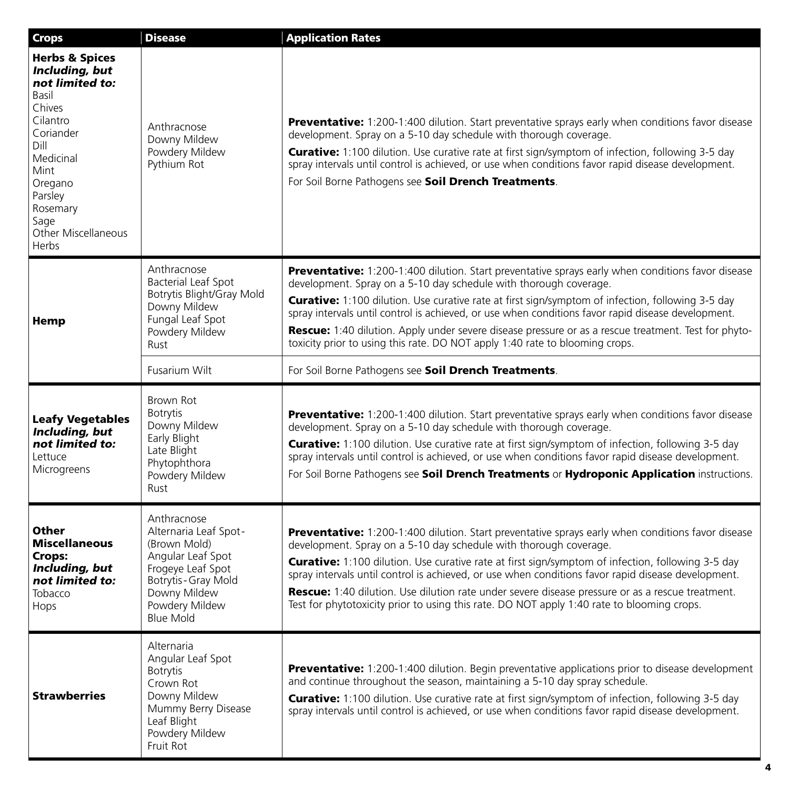| <b>Crops</b>                                                                                                                                                                                                      | <b>Disease</b>                                                                                                                                                               | <b>Application Rates</b>                                                                                                                                                                                                                                                                                                                                                                                                                                                                                                                                                                                 |
|-------------------------------------------------------------------------------------------------------------------------------------------------------------------------------------------------------------------|------------------------------------------------------------------------------------------------------------------------------------------------------------------------------|----------------------------------------------------------------------------------------------------------------------------------------------------------------------------------------------------------------------------------------------------------------------------------------------------------------------------------------------------------------------------------------------------------------------------------------------------------------------------------------------------------------------------------------------------------------------------------------------------------|
| <b>Herbs &amp; Spices</b><br>Including, but<br>not limited to:<br>Basil<br>Chives<br>Cilantro<br>Coriander<br>Dill<br>Medicinal<br>Mint<br>Oregano<br>Parsley<br>Rosemary<br>Sage<br>Other Miscellaneous<br>Herbs | Anthracnose<br>Downy Mildew<br>Powdery Mildew<br>Pythium Rot                                                                                                                 | <b>Preventative:</b> 1:200-1:400 dilution. Start preventative sprays early when conditions favor disease<br>development. Spray on a 5-10 day schedule with thorough coverage.<br><b>Curative:</b> 1:100 dilution. Use curative rate at first sign/symptom of infection, following 3-5 day<br>spray intervals until control is achieved, or use when conditions favor rapid disease development.<br>For Soil Borne Pathogens see Soil Drench Treatments.                                                                                                                                                  |
| Hemp                                                                                                                                                                                                              | Anthracnose<br><b>Bacterial Leaf Spot</b><br>Botrytis Blight/Gray Mold<br>Downy Mildew<br>Fungal Leaf Spot<br>Powdery Mildew<br>Rust                                         | <b>Preventative:</b> 1:200-1:400 dilution. Start preventative sprays early when conditions favor disease<br>development. Spray on a 5-10 day schedule with thorough coverage.<br><b>Curative:</b> 1:100 dilution. Use curative rate at first sign/symptom of infection, following 3-5 day<br>spray intervals until control is achieved, or use when conditions favor rapid disease development.<br>Rescue: 1:40 dilution. Apply under severe disease pressure or as a rescue treatment. Test for phyto-<br>toxicity prior to using this rate. DO NOT apply 1:40 rate to blooming crops.                  |
|                                                                                                                                                                                                                   | Fusarium Wilt                                                                                                                                                                | For Soil Borne Pathogens see Soil Drench Treatments.                                                                                                                                                                                                                                                                                                                                                                                                                                                                                                                                                     |
| Leafy Vegetables<br>Including, but<br>not limited to:<br>Lettuce<br>Microgreens                                                                                                                                   | Brown Rot<br>Botrytis<br>Downy Mildew<br>Early Blight<br>Late Blight<br>Phytophthora<br>Powdery Mildew<br>Rust                                                               | <b>Preventative:</b> 1:200-1:400 dilution. Start preventative sprays early when conditions favor disease<br>development. Spray on a 5-10 day schedule with thorough coverage.<br><b>Curative:</b> 1:100 dilution. Use curative rate at first sign/symptom of infection, following 3-5 day<br>spray intervals until control is achieved, or use when conditions favor rapid disease development.<br>For Soil Borne Pathogens see Soil Drench Treatments or Hydroponic Application instructions.                                                                                                           |
| Other<br><b>Miscellaneous</b><br>Crops:<br>Including, but<br>not limited to:<br>Tobacco<br>Hops                                                                                                                   | Anthracnose<br>Alternaria Leaf Spot-<br>(Brown Mold)<br>Angular Leaf Spot<br>Frogeve Leaf Spot<br>Botrytis - Gray Mold<br>Downy Mildew<br>Powdery Mildew<br><b>Blue Mold</b> | <b>Preventative:</b> 1:200-1:400 dilution. Start preventative sprays early when conditions favor disease<br>development. Spray on a 5-10 day schedule with thorough coverage.<br><b>Curative:</b> 1:100 dilution. Use curative rate at first sign/symptom of infection, following 3-5 day<br>spray intervals until control is achieved, or use when conditions favor rapid disease development.<br><b>Rescue:</b> 1:40 dilution. Use dilution rate under severe disease pressure or as a rescue treatment.<br>Test for phytotoxicity prior to using this rate. DO NOT apply 1:40 rate to blooming crops. |
| <b>Strawberries</b>                                                                                                                                                                                               | Alternaria<br>Angular Leaf Spot<br><b>Botrytis</b><br>Crown Rot<br>Downy Mildew<br>Mummy Berry Disease<br>Leaf Blight<br>Powdery Mildew<br>Fruit Rot                         | <b>Preventative:</b> 1:200-1:400 dilution. Begin preventative applications prior to disease development<br>and continue throughout the season, maintaining a 5-10 day spray schedule.<br><b>Curative:</b> 1:100 dilution. Use curative rate at first sign/symptom of infection, following 3-5 day<br>spray intervals until control is achieved, or use when conditions favor rapid disease development.                                                                                                                                                                                                  |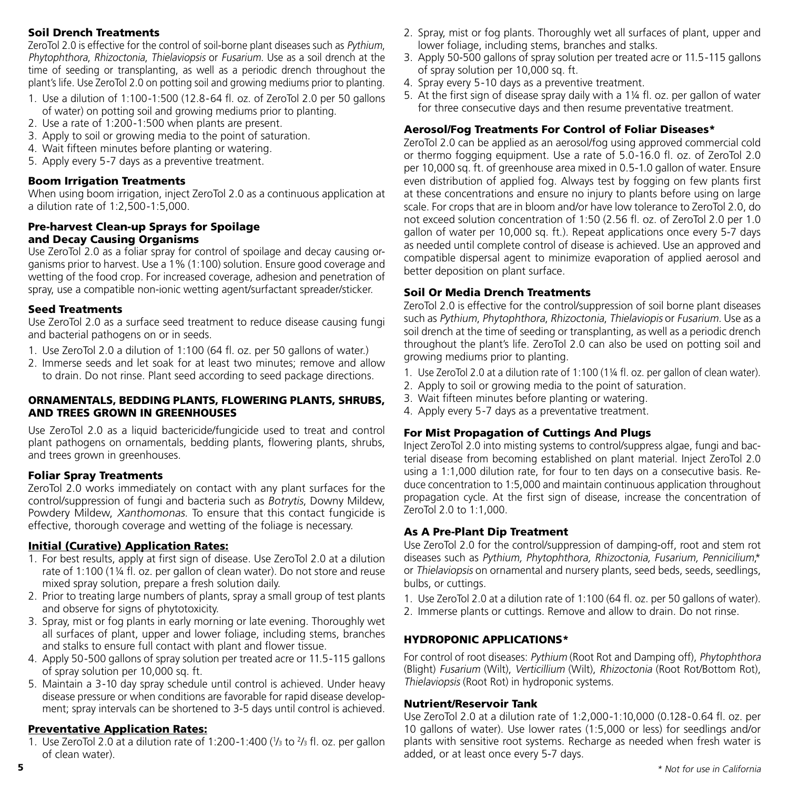#### Soil Drench Treatments

ZeroTol 2.0 is effective for the control of soil-borne plant diseases such as Pythium, Phytophthora, Rhizoctonia, Thielaviopsis or Fusarium. Use as a soil drench at the time of seeding or transplanting, as well as a periodic drench throughout the plant's life. Use ZeroTol 2.0 on potting soil and growing mediums prior to planting.

- 1. Use a dilution of 1:100-1:500 (12.8-64 fl. oz. of ZeroTol 2.0 per 50 gallons of water) on potting soil and growing mediums prior to planting.
- 2. Use a rate of 1:200-1:500 when plants are present.
- 3. Apply to soil or growing media to the point of saturation.
- 4. Wait fifteen minutes before planting or watering.
- 5. Apply every 5-7 days as a preventive treatment.

#### Boom Irrigation Treatments

When using boom irrigation, inject ZeroTol 2.0 as a continuous application at a dilution rate of 1:2,500-1:5,000.

#### Pre-harvest Clean-up Sprays for Spoilage and Decay Causing Organisms

Use ZeroTol 2.0 as a foliar spray for control of spoilage and decay causing organisms prior to harvest. Use a 1% (1:100) solution. Ensure good coverage and wetting of the food crop. For increased coverage, adhesion and penetration of spray, use a compatible non-ionic wetting agent/surfactant spreader/sticker.

#### Seed Treatments

Use ZeroTol 2.0 as a surface seed treatment to reduce disease causing fungi and bacterial pathogens on or in seeds.

- 1. Use ZeroTol 2.0 a dilution of 1:100 (64 fl. oz. per 50 gallons of water.)
- 2. Immerse seeds and let soak for at least two minutes; remove and allow to drain. Do not rinse. Plant seed according to seed package directions.

#### ORNAMENTALS, BEDDING PLANTS, FLOWERING PLANTS, SHRUBS, AND TREES GROWN IN GREENHOUSES

Use ZeroTol 2.0 as a liquid bactericide/fungicide used to treat and control plant pathogens on ornamentals, bedding plants, flowering plants, shrubs, and trees grown in greenhouses.

#### Foliar Spray Treatments

ZeroTol 2.0 works immediately on contact with any plant surfaces for the control/suppression of fungi and bacteria such as Botrytis, Downy Mildew, Powdery Mildew, Xanthomonas. To ensure that this contact fungicide is effective, thorough coverage and wetting of the foliage is necessary.

#### Initial (Curative) Application Rates:

- 1. For best results, apply at first sign of disease. Use ZeroTol 2.0 at a dilution rate of 1:100 (1¼ fl. oz. per gallon of clean water). Do not store and reuse mixed spray solution, prepare a fresh solution daily.
- 2. Prior to treating large numbers of plants, spray a small group of test plants and observe for signs of phytotoxicity.
- 3. Spray, mist or fog plants in early morning or late evening. Thoroughly wet all surfaces of plant, upper and lower foliage, including stems, branches and stalks to ensure full contact with plant and flower tissue.
- 4. Apply 50-500 gallons of spray solution per treated acre or 11.5-115 gallons of spray solution per 10,000 sq. ft.
- 5. Maintain a 3-10 day spray schedule until control is achieved. Under heavy disease pressure or when conditions are favorable for rapid disease development; spray intervals can be shortened to 3-5 days until control is achieved.

#### Preventative Application Rates:

1. Use ZeroTol 2.0 at a dilution rate of 1:200-1:400 ( $\frac{1}{3}$  to  $\frac{2}{3}$  fl. oz. per gallon of clean water).

- 2. Spray, mist or fog plants. Thoroughly wet all surfaces of plant, upper and lower foliage, including stems, branches and stalks.
- 3. Apply 50-500 gallons of spray solution per treated acre or 11.5-115 gallons of spray solution per 10,000 sq. ft.
- 4. Spray every 5-10 days as a preventive treatment.
- 5. At the first sign of disease spray daily with a 1¼ fl. oz. per gallon of water for three consecutive days and then resume preventative treatment.

#### Aerosol/Fog Treatments For Control of Foliar Diseases\*

ZeroTol 2.0 can be applied as an aerosol/fog using approved commercial cold or thermo fogging equipment. Use a rate of 5.0-16.0 fl. oz. of ZeroTol 2.0 per 10,000 sq. ft. of greenhouse area mixed in 0.5-1.0 gallon of water. Ensure even distribution of applied fog. Always test by fogging on few plants first at these concentrations and ensure no injury to plants before using on large scale. For crops that are in bloom and/or have low tolerance to ZeroTol 2.0, do not exceed solution concentration of 1:50 (2.56 fl. oz. of ZeroTol 2.0 per 1.0 gallon of water per 10,000 sq. ft.). Repeat applications once every 5-7 days as needed until complete control of disease is achieved. Use an approved and compatible dispersal agent to minimize evaporation of applied aerosol and better deposition on plant surface.

#### Soil Or Media Drench Treatments

ZeroTol 2.0 is effective for the control/suppression of soil borne plant diseases such as Pythium, Phytophthora, Rhizoctonia, Thielaviopis or Fusarium. Use as a soil drench at the time of seeding or transplanting, as well as a periodic drench throughout the plant's life. ZeroTol 2.0 can also be used on potting soil and growing mediums prior to planting.

- 1. Use ZeroTol 2.0 at a dilution rate of 1:100 (1¼ fl. oz. per gallon of clean water).
- 2. Apply to soil or growing media to the point of saturation.
- 3. Wait fifteen minutes before planting or watering.
- 4. Apply every 5-7 days as a preventative treatment.

#### For Mist Propagation of Cuttings And Plugs

Inject ZeroTol 2.0 into misting systems to control/suppress algae, fungi and bacterial disease from becoming established on plant material. Inject ZeroTol 2.0 using a 1:1,000 dilution rate, for four to ten days on a consecutive basis. Reduce concentration to 1:5,000 and maintain continuous application throughout propagation cycle. At the first sign of disease, increase the concentration of ZeroTol 2.0 to 1:1,000.

#### As A Pre-Plant Dip Treatment

Use ZeroTol 2.0 for the control/suppression of damping-off, root and stem rot diseases such as Pythium, Phytophthora, Rhizoctonia, Fusarium, Pennicilium,\* or Thielaviopsis on ornamental and nursery plants, seed beds, seeds, seedlings, bulbs, or cuttings.

- 1. Use ZeroTol 2.0 at a dilution rate of 1:100 (64 fl. oz. per 50 gallons of water).
- 2. Immerse plants or cuttings. Remove and allow to drain. Do not rinse.

#### HYDROPONIC APPLICATIONS\*

For control of root diseases: Pythium (Root Rot and Damping off), Phytophthora (Blight) Fusarium (Wilt), Verticillium (Wilt), Rhizoctonia (Root Rot/Bottom Rot), Thielaviopsis (Root Rot) in hydroponic systems.

#### Nutrient/Reservoir Tank

Use ZeroTol 2.0 at a dilution rate of 1:2,000-1:10,000 (0.128-0.64 fl. oz. per 10 gallons of water). Use lower rates (1:5,000 or less) for seedlings and/or plants with sensitive root systems. Recharge as needed when fresh water is added, or at least once every 5-7 days.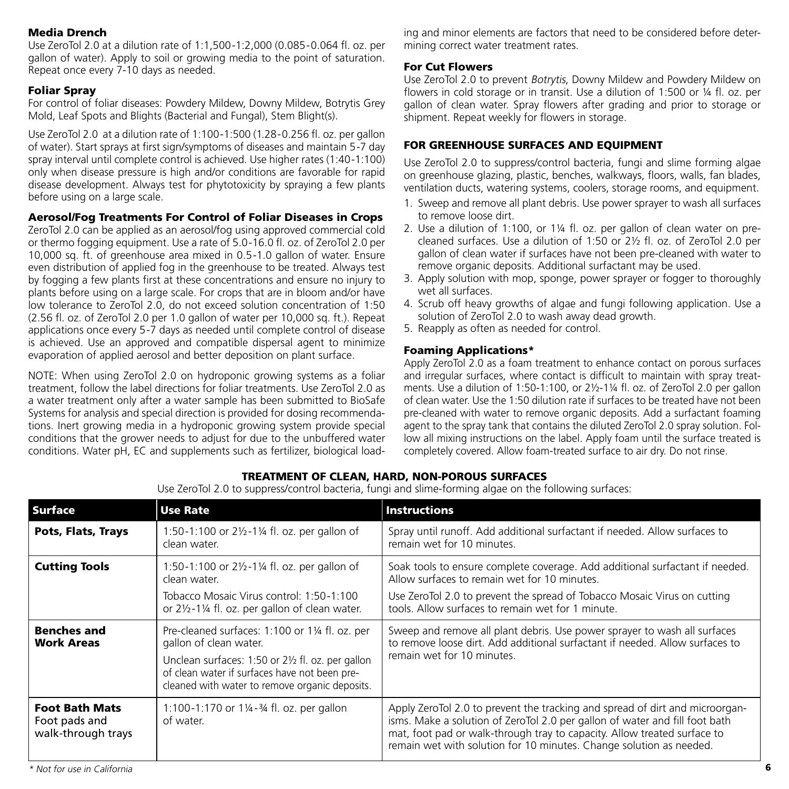#### Media Drench

Use ZeroTol 2.0 at a dilution rate of 1:1,500-1:2,000 (0.085-0.064 fl. oz. per gallon of water). Apply to soil or growing media to the point of saturation. Repeat once every 7-10 days as needed.

#### Foliar Spray

For control of foliar diseases: Powdery Mildew, Downy Mildew, Botrytis Grey Mold, Leaf Spots and Blights (Bacterial and Fungal), Stem Blight(s).

Use ZeroTol 2.0 at a dilution rate of 1:100-1:500 (1.28-0.256 fl. oz. per gallon of water). Start sprays at first sign/symptoms of diseases and maintain 5-7 day spray interval until complete control is achieved. Use higher rates (1:40-1:100) only when disease pressure is high and/or conditions are favorable for rapid disease development. Always test for phytotoxicity by spraying a few plants before using on a large scale.

#### Aerosol/Fog Treatments For Control of Foliar Diseases in Crops

ZeroTol 2.0 can be applied as an aerosol/fog using approved commercial cold or thermo fogging equipment. Use a rate of 5.0-16.0 fl. oz. of ZeroTol 2.0 per 10,000 sq. ft. of greenhouse area mixed in 0.5-1.0 gallon of water. Ensure even distribution of applied fog in the greenhouse to be treated. Always test by fogging a few plants first at these concentrations and ensure no injury to plants before using on a large scale. For crops that are in bloom and/or have low tolerance to ZeroTol 2.0, do not exceed solution concentration of 1:50 (2.56 fl. oz. of ZeroTol 2.0 per 1.0 gallon of water per 10,000 sq. ft.). Repeat applications once every 5-7 days as needed until complete control of disease is achieved. Use an approved and compatible dispersal agent to minimize evaporation of applied aerosol and better deposition on plant surface.

NOTE: When using ZeroTol 2.0 on hydroponic growing systems as a foliar treatment, follow the label directions for foliar treatments. Use ZeroTol 2.0 as a water treatment only after a water sample has been submitted to BioSafe Systems for analysis and special direction is provided for dosing recommendations. Inert growing media in a hydroponic growing system provide special conditions that the grower needs to adjust for due to the unbuffered water conditions. Water pH, EC and supplements such as fertilizer, biological load-

ing and minor elements are factors that need to be considered before determining correct water treatment rates.

#### For Cut Flowers

Use ZeroTol 2.0 to prevent Botrytis, Downy Mildew and Powdery Mildew on flowers in cold storage or in transit. Use a dilution of 1:500 or ¼ fl. oz. per gallon of clean water. Spray flowers after grading and prior to storage or shipment. Repeat weekly for flowers in storage.

#### FOR GREENHOUSE SURFACES AND EQUIPMENT

Use ZeroTol 2.0 to suppress/control bacteria, fungi and slime forming algae on greenhouse glazing, plastic, benches, walkways, floors, walls, fan blades, ventilation ducts, watering systems, coolers, storage rooms, and equipment.

- 1. Sweep and remove all plant debris. Use power sprayer to wash all surfaces to remove loose dirt.
- 2. Use a dilution of 1:100, or 1¼ fl. oz. per gallon of clean water on precleaned surfaces. Use a dilution of 1:50 or 2½ fl. oz. of ZeroTol 2.0 per gallon of clean water if surfaces have not been pre-cleaned with water to remove organic deposits. Additional surfactant may be used.
- 3. Apply solution with mop, sponge, power sprayer or fogger to thoroughly wet all surfaces.
- 4. Scrub off heavy growths of algae and fungi following application. Use a solution of ZeroTol 2.0 to wash away dead growth.
- 5. Reapply as often as needed for control.

#### Foaming Applications\*

Apply ZeroTol 2.0 as a foam treatment to enhance contact on porous surfaces and irregular surfaces, where contact is difficult to maintain with spray treatments. Use a dilution of 1:50-1:100, or 2½-1¼ fl. oz. of ZeroTol 2.0 per gallon of clean water. Use the 1:50 dilution rate if surfaces to be treated have not been pre-cleaned with water to remove organic deposits. Add a surfactant foaming agent to the spray tank that contains the diluted ZeroTol 2.0 spray solution. Follow all mixing instructions on the label. Apply foam until the surface treated is completely covered. Allow foam-treated surface to air dry. Do not rinse.

#### TREATMENT OF CLEAN, HARD, NON-POROUS SURFACES

Use ZeroTol 2.0 to suppress/control bacteria, fungi and slime-forming algae on the following surfaces:

| Surface                                                      | <b>Use Rate</b>                                                                                                                                                                                                                 | <b>Instructions</b>                                                                                                                                                                                                                                                                                            |
|--------------------------------------------------------------|---------------------------------------------------------------------------------------------------------------------------------------------------------------------------------------------------------------------------------|----------------------------------------------------------------------------------------------------------------------------------------------------------------------------------------------------------------------------------------------------------------------------------------------------------------|
| Pots, Flats, Trays                                           | 1:50-1:100 or 21/2-11/4 fl. oz. per gallon of<br>clean water.                                                                                                                                                                   | Spray until runoff. Add additional surfactant if needed. Allow surfaces to<br>remain wet for 10 minutes.                                                                                                                                                                                                       |
| <b>Cutting Tools</b>                                         | 1:50-1:100 or $2\frac{1}{4}$ fl. oz. per gallon of<br>clean water.                                                                                                                                                              | Soak tools to ensure complete coverage. Add additional surfactant if needed.<br>Allow surfaces to remain wet for 10 minutes.                                                                                                                                                                                   |
|                                                              | Tobacco Mosaic Virus control: 1:50-1:100<br>or 21/2-11/4 fl. oz. per gallon of clean water.                                                                                                                                     | Use ZeroTol 2.0 to prevent the spread of Tobacco Mosaic Virus on cutting<br>tools. Allow surfaces to remain wet for 1 minute.                                                                                                                                                                                  |
| <b>Benches and</b><br><b>Work Areas</b>                      | Pre-cleaned surfaces: 1:100 or 1¼ fl. oz. per<br>gallon of clean water.<br>Unclean surfaces: 1:50 or 21/2 fl. oz. per gallon<br>of clean water if surfaces have not been pre-<br>cleaned with water to remove organic deposits. | Sweep and remove all plant debris. Use power sprayer to wash all surfaces<br>to remove loose dirt. Add additional surfactant if needed. Allow surfaces to<br>remain wet for 10 minutes.                                                                                                                        |
| <b>Foot Bath Mats</b><br>Foot pads and<br>walk-through trays | 1:100-1:170 or 1¼-3⁄4 fl. oz. per gallon<br>of water.                                                                                                                                                                           | Apply ZeroTol 2.0 to prevent the tracking and spread of dirt and microorgan-<br>isms. Make a solution of ZeroTol 2.0 per gallon of water and fill foot bath<br>mat, foot pad or walk-through tray to capacity. Allow treated surface to<br>remain wet with solution for 10 minutes. Change solution as needed. |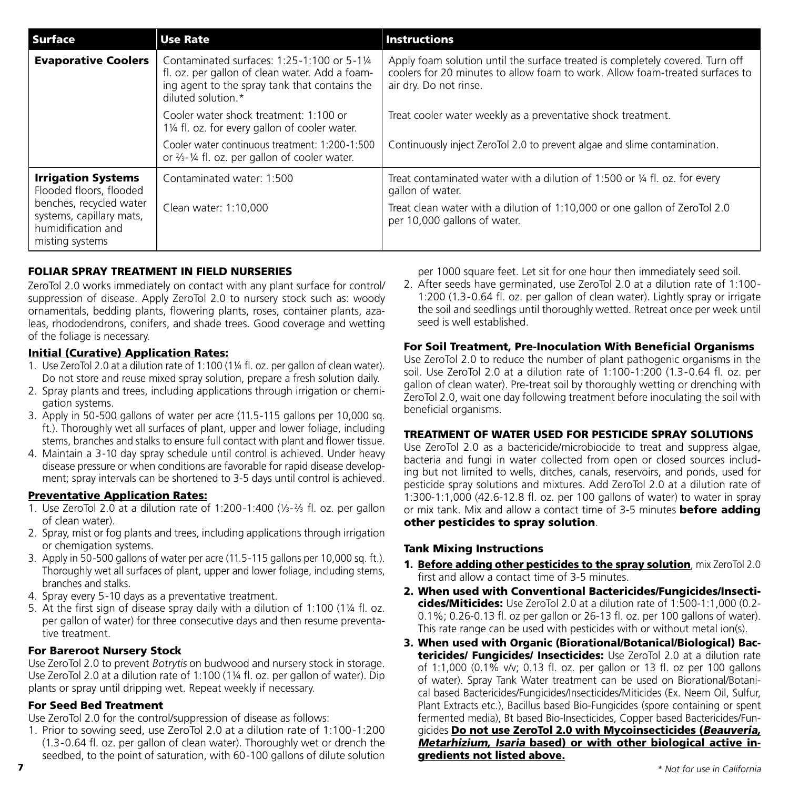| <b>Surface</b>                                                                               | <b>Use Rate</b>                                                                                                                                                      | <b>Instructions</b>                                                                                                                                                                     |
|----------------------------------------------------------------------------------------------|----------------------------------------------------------------------------------------------------------------------------------------------------------------------|-----------------------------------------------------------------------------------------------------------------------------------------------------------------------------------------|
| <b>Evaporative Coolers</b>                                                                   | Contaminated surfaces: 1:25-1:100 or 5-11/4<br>fl. oz. per gallon of clean water. Add a foam-<br>ing agent to the spray tank that contains the<br>diluted solution.* | Apply foam solution until the surface treated is completely covered. Turn off<br>coolers for 20 minutes to allow foam to work. Allow foam-treated surfaces to<br>air dry. Do not rinse. |
|                                                                                              | Cooler water shock treatment: 1:100 or<br>11/4 fl. oz. for every gallon of cooler water.                                                                             | Treat cooler water weekly as a preventative shock treatment.                                                                                                                            |
|                                                                                              | Cooler water continuous treatment: 1:200-1:500<br>or $\frac{2}{3}$ - $\frac{1}{4}$ fl. oz. per gallon of cooler water.                                               | Continuously inject ZeroTol 2.0 to prevent algae and slime contamination.                                                                                                               |
| <b>Irrigation Systems</b><br>Flooded floors, flooded                                         | Contaminated water: 1:500                                                                                                                                            | Treat contaminated water with a dilution of 1:500 or 1/4 fl. oz. for every<br>gallon of water.                                                                                          |
| benches, recycled water<br>systems, capillary mats,<br>humidification and<br>misting systems | Clean water: 1:10,000                                                                                                                                                | Treat clean water with a dilution of 1:10,000 or one gallon of ZeroTol 2.0<br>per 10,000 gallons of water.                                                                              |

#### FOLIAR SPRAY TREATMENT IN FIELD NURSERIES

ZeroTol 2.0 works immediately on contact with any plant surface for control/ suppression of disease. Apply ZeroTol 2.0 to nursery stock such as: woody ornamentals, bedding plants, flowering plants, roses, container plants, azaleas, rhododendrons, conifers, and shade trees. Good coverage and wetting of the foliage is necessary.

#### Initial (Curative) Application Rates:

- 1. Use ZeroTol 2.0 at a dilution rate of 1:100 (1¼ fl. oz. per gallon of clean water). Do not store and reuse mixed spray solution, prepare a fresh solution daily.
- 2. Spray plants and trees, including applications through irrigation or chemigation systems.
- 3. Apply in 50-500 gallons of water per acre (11.5-115 gallons per 10,000 sq. ft.). Thoroughly wet all surfaces of plant, upper and lower foliage, including stems, branches and stalks to ensure full contact with plant and flower tissue.
- 4. Maintain a 3-10 day spray schedule until control is achieved. Under heavy disease pressure or when conditions are favorable for rapid disease development; spray intervals can be shortened to 3-5 days until control is achieved.

#### Preventative Application Rates:

- 1. Use ZeroTol 2.0 at a dilution rate of 1:200-1:400 (1⁄3-2⁄3 fl. oz. per gallon of clean water).
- 2. Spray, mist or fog plants and trees, including applications through irrigation or chemigation systems.
- 3. Apply in 50-500 gallons of water per acre (11.5-115 gallons per 10,000 sq. ft.). Thoroughly wet all surfaces of plant, upper and lower foliage, including stems, branches and stalks.
- 4. Spray every 5-10 days as a preventative treatment.
- 5. At the first sign of disease spray daily with a dilution of 1:100 (1¼ fl. oz. per gallon of water) for three consecutive days and then resume preventative treatment.

#### For Bareroot Nursery Stock

Use ZeroTol 2.0 to prevent Botrytis on budwood and nursery stock in storage. Use ZeroTol 2.0 at a dilution rate of 1:100 (1¼ fl. oz. per gallon of water). Dip plants or spray until dripping wet. Repeat weekly if necessary.

#### For Seed Bed Treatment

Use ZeroTol 2.0 for the control/suppression of disease as follows:

1. Prior to sowing seed, use ZeroTol 2.0 at a dilution rate of 1:100-1:200 (1.3-0.64 fl. oz. per gallon of clean water). Thoroughly wet or drench the seedbed, to the point of saturation, with 60-100 gallons of dilute solution per 1000 square feet. Let sit for one hour then immediately seed soil.

2. After seeds have germinated, use ZeroTol 2.0 at a dilution rate of 1:100- 1:200 (1.3-0.64 fl. oz. per gallon of clean water). Lightly spray or irrigate the soil and seedlings until thoroughly wetted. Retreat once per week until seed is well established.

#### For Soil Treatment, Pre-Inoculation With Beneficial Organisms

Use ZeroTol 2.0 to reduce the number of plant pathogenic organisms in the soil. Use ZeroTol 2.0 at a dilution rate of 1:100-1:200 (1.3-0.64 fl. oz. per gallon of clean water). Pre-treat soil by thoroughly wetting or drenching with ZeroTol 2.0, wait one day following treatment before inoculating the soil with beneficial organisms.

#### TREATMENT OF WATER USED FOR PESTICIDE SPRAY SOLUTIONS

Use ZeroTol 2.0 as a bactericide/microbiocide to treat and suppress algae, bacteria and fungi in water collected from open or closed sources including but not limited to wells, ditches, canals, reservoirs, and ponds, used for pesticide spray solutions and mixtures. Add ZeroTol 2.0 at a dilution rate of 1:300-1:1,000 (42.6-12.8 fl. oz. per 100 gallons of water) to water in spray or mix tank. Mix and allow a contact time of 3-5 minutes **before adding** other pesticides to spray solution.

#### Tank Mixing Instructions

- 1. Before adding other pesticides to the spray solution, mix ZeroTol 2.0 first and allow a contact time of 3-5 minutes.
- 2. When used with Conventional Bactericides/Fungicides/Insecticides/Miticides: Use ZeroTol 2.0 at a dilution rate of 1:500-1:1,000 (0.2-0.1%; 0.26-0.13 fl. oz per gallon or 26-13 fl. oz. per 100 gallons of water). This rate range can be used with pesticides with or without metal ion(s).
- 3. When used with Organic (Biorational/Botanical/Biological) Bactericides/ Fungicides/ Insecticides: Use ZeroTol 2.0 at a dilution rate of 1:1,000 (0.1% v/v; 0.13 fl. oz. per gallon or 13 fl. oz per 100 gallons of water). Spray Tank Water treatment can be used on Biorational/Botanical based Bactericides/Fungicides/Insecticides/Miticides (Ex. Neem Oil, Sulfur, Plant Extracts etc.), Bacillus based Bio-Fungicides (spore containing or spent fermented media), Bt based Bio-Insecticides, Copper based Bactericides/Fungicides Do not use ZeroTol 2.0 with Mycoinsecticides (Beauveria, Metarhizium, Isaria based) or with other biological active ingredients not listed above.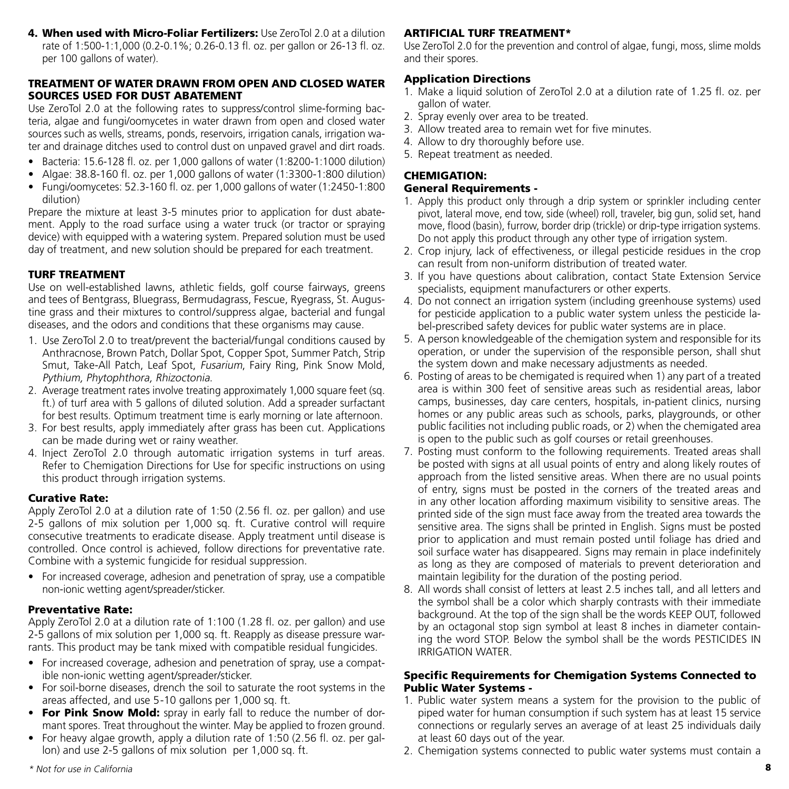4. When used with Micro-Foliar Fertilizers: Use ZeroTol 2.0 at a dilution rate of 1:500-1:1,000 (0.2-0.1%; 0.26-0.13 fl. oz. per gallon or 26-13 fl. oz. per 100 gallons of water).

#### TREATMENT OF WATER DRAWN FROM OPEN AND CLOSED WATER SOURCES USED FOR DUST ABATEMENT

Use ZeroTol 2.0 at the following rates to suppress/control slime-forming bacteria, algae and fungi/oomycetes in water drawn from open and closed water sources such as wells, streams, ponds, reservoirs, irrigation canals, irrigation water and drainage ditches used to control dust on unpaved gravel and dirt roads.

- Bacteria: 15.6-128 fl. oz. per 1,000 gallons of water (1:8200-1:1000 dilution)
- Algae: 38.8-160 fl. oz. per 1,000 gallons of water (1:3300-1:800 dilution)
- Fungi/oomycetes: 52.3-160 fl. oz. per 1,000 gallons of water (1:2450-1:800 dilution)

Prepare the mixture at least 3-5 minutes prior to application for dust abatement. Apply to the road surface using a water truck (or tractor or spraying device) with equipped with a watering system. Prepared solution must be used day of treatment, and new solution should be prepared for each treatment.

#### TURF TREATMENT

Use on well-established lawns, athletic fields, golf course fairways, greens and tees of Bentgrass, Bluegrass, Bermudagrass, Fescue, Ryegrass, St. Augustine grass and their mixtures to control/suppress algae, bacterial and fungal diseases, and the odors and conditions that these organisms may cause.

- 1. Use ZeroTol 2.0 to treat/prevent the bacterial/fungal conditions caused by Anthracnose, Brown Patch, Dollar Spot, Copper Spot, Summer Patch, Strip Smut, Take-All Patch, Leaf Spot, Fusarium, Fairy Ring, Pink Snow Mold, Pythium, Phytophthora, Rhizoctonia.
- 2. Average treatment rates involve treating approximately 1,000 square feet (sq. ft.) of turf area with 5 gallons of diluted solution. Add a spreader surfactant for best results. Optimum treatment time is early morning or late afternoon.
- 3. For best results, apply immediately after grass has been cut. Applications can be made during wet or rainy weather.
- 4. Inject ZeroTol 2.0 through automatic irrigation systems in turf areas. Refer to Chemigation Directions for Use for specific instructions on using this product through irrigation systems.

#### Curative Rate:

Apply ZeroTol 2.0 at a dilution rate of 1:50 (2.56 fl. oz. per gallon) and use 2-5 gallons of mix solution per 1,000 sq. ft. Curative control will require consecutive treatments to eradicate disease. Apply treatment until disease is controlled. Once control is achieved, follow directions for preventative rate. Combine with a systemic fungicide for residual suppression.

• For increased coverage, adhesion and penetration of spray, use a compatible non-ionic wetting agent/spreader/sticker.

#### Preventative Rate:

Apply ZeroTol 2.0 at a dilution rate of 1:100 (1.28 fl. oz. per gallon) and use 2-5 gallons of mix solution per 1,000 sq. ft. Reapply as disease pressure warrants. This product may be tank mixed with compatible residual fungicides.

- For increased coverage, adhesion and penetration of spray, use a compatible non-ionic wetting agent/spreader/sticker.
- For soil-borne diseases, drench the soil to saturate the root systems in the areas affected, and use 5-10 gallons per 1,000 sq. ft.
- For Pink Snow Mold: spray in early fall to reduce the number of dormant spores. Treat throughout the winter. May be applied to frozen ground.
- For heavy algae growth, apply a dilution rate of 1:50 (2.56 fl. oz. per gallon) and use 2-5 gallons of mix solution per 1,000 sq. ft.

#### ARTIFICIAL TURF TREATMENT\*

Use ZeroTol 2.0 for the prevention and control of algae, fungi, moss, slime molds and their spores.

#### Application Directions

- 1. Make a liquid solution of ZeroTol 2.0 at a dilution rate of 1.25 fl. oz. per gallon of water.
- 2. Spray evenly over area to be treated.
- 3. Allow treated area to remain wet for five minutes.
- 4. Allow to dry thoroughly before use.
- 5. Repeat treatment as needed.

#### CHEMIGATION:

#### General Requirements -

- 1. Apply this product only through a drip system or sprinkler including center pivot, lateral move, end tow, side (wheel) roll, traveler, big gun, solid set, hand move, flood (basin), furrow, border drip (trickle) or drip-type irrigation systems. Do not apply this product through any other type of irrigation system.
- 2. Crop injury, lack of effectiveness, or illegal pesticide residues in the crop can result from non-uniform distribution of treated water.
- 3. If you have questions about calibration, contact State Extension Service specialists, equipment manufacturers or other experts.
- 4. Do not connect an irrigation system (including greenhouse systems) used for pesticide application to a public water system unless the pesticide label-prescribed safety devices for public water systems are in place.
- 5. A person knowledgeable of the chemigation system and responsible for its operation, or under the supervision of the responsible person, shall shut the system down and make necessary adjustments as needed.
- 6. Posting of areas to be chemigated is required when 1) any part of a treated area is within 300 feet of sensitive areas such as residential areas, labor camps, businesses, day care centers, hospitals, in-patient clinics, nursing homes or any public areas such as schools, parks, playgrounds, or other public facilities not including public roads, or 2) when the chemigated area is open to the public such as golf courses or retail greenhouses.
- 7. Posting must conform to the following requirements. Treated areas shall be posted with signs at all usual points of entry and along likely routes of approach from the listed sensitive areas. When there are no usual points of entry, signs must be posted in the corners of the treated areas and in any other location affording maximum visibility to sensitive areas. The printed side of the sign must face away from the treated area towards the sensitive area. The signs shall be printed in English. Signs must be posted prior to application and must remain posted until foliage has dried and soil surface water has disappeared. Signs may remain in place indefinitely as long as they are composed of materials to prevent deterioration and maintain legibility for the duration of the posting period.
- 8. All words shall consist of letters at least 2.5 inches tall, and all letters and the symbol shall be a color which sharply contrasts with their immediate background. At the top of the sign shall be the words KEEP OUT, followed by an octagonal stop sign symbol at least 8 inches in diameter containing the word STOP. Below the symbol shall be the words PESTICIDES IN IRRIGATION WATER.

#### Specific Requirements for Chemigation Systems Connected to Public Water Systems -

- 1. Public water system means a system for the provision to the public of piped water for human consumption if such system has at least 15 service connections or regularly serves an average of at least 25 individuals daily at least 60 days out of the year.
- 2. Chemigation systems connected to public water systems must contain a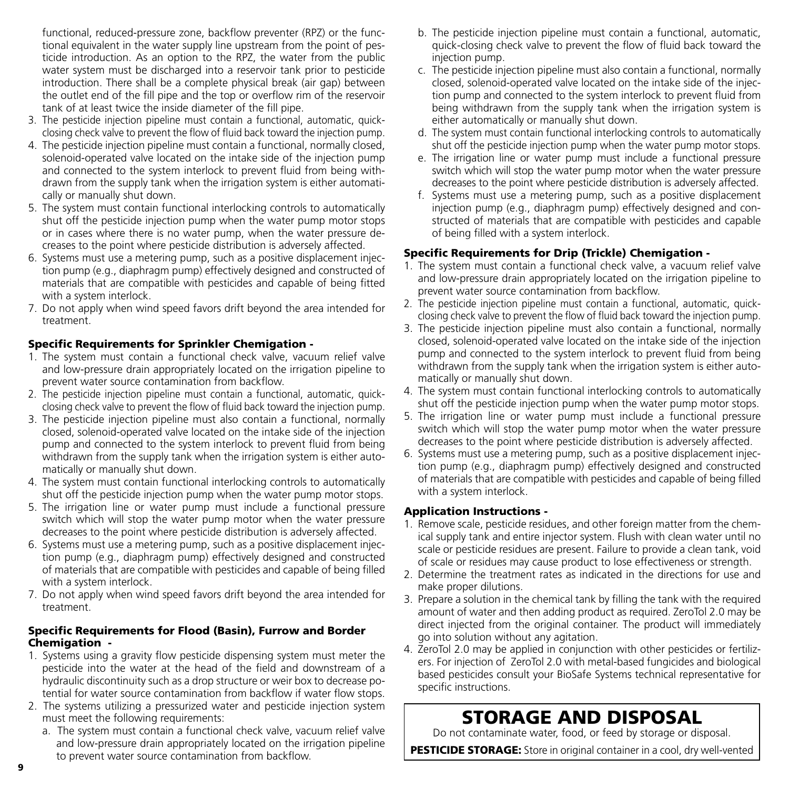functional, reduced-pressure zone, backflow preventer (RPZ) or the functional equivalent in the water supply line upstream from the point of pesticide introduction. As an option to the RPZ, the water from the public water system must be discharged into a reservoir tank prior to pesticide introduction. There shall be a complete physical break (air gap) between the outlet end of the fill pipe and the top or overflow rim of the reservoir tank of at least twice the inside diameter of the fill pipe.

- 3. The pesticide injection pipeline must contain a functional, automatic, quickclosing check valve to prevent the flow of fluid back toward the injection pump.
- 4. The pesticide injection pipeline must contain a functional, normally closed, solenoid-operated valve located on the intake side of the injection pump and connected to the system interlock to prevent fluid from being withdrawn from the supply tank when the irrigation system is either automatically or manually shut down.
- 5. The system must contain functional interlocking controls to automatically shut off the pesticide injection pump when the water pump motor stops or in cases where there is no water pump, when the water pressure decreases to the point where pesticide distribution is adversely affected.
- 6. Systems must use a metering pump, such as a positive displacement injection pump (e.g., diaphragm pump) effectively designed and constructed of materials that are compatible with pesticides and capable of being fitted with a system interlock.
- 7. Do not apply when wind speed favors drift beyond the area intended for treatment.

#### Specific Requirements for Sprinkler Chemigation -

- 1. The system must contain a functional check valve, vacuum relief valve and low-pressure drain appropriately located on the irrigation pipeline to prevent water source contamination from backflow.
- 2. The pesticide injection pipeline must contain a functional, automatic, quickclosing check valve to prevent the flow of fluid back toward the injection pump.
- 3. The pesticide injection pipeline must also contain a functional, normally closed, solenoid-operated valve located on the intake side of the injection pump and connected to the system interlock to prevent fluid from being withdrawn from the supply tank when the irrigation system is either automatically or manually shut down.
- 4. The system must contain functional interlocking controls to automatically shut off the pesticide injection pump when the water pump motor stops.
- 5. The irrigation line or water pump must include a functional pressure switch which will stop the water pump motor when the water pressure decreases to the point where pesticide distribution is adversely affected.
- 6. Systems must use a metering pump, such as a positive displacement injection pump (e.g., diaphragm pump) effectively designed and constructed of materials that are compatible with pesticides and capable of being filled with a system interlock.
- 7. Do not apply when wind speed favors drift beyond the area intended for treatment.

#### Specific Requirements for Flood (Basin), Furrow and Border Chemigation -

- 1. Systems using a gravity flow pesticide dispensing system must meter the pesticide into the water at the head of the field and downstream of a hydraulic discontinuity such as a drop structure or weir box to decrease potential for water source contamination from backflow if water flow stops.
- 2. The systems utilizing a pressurized water and pesticide injection system must meet the following requirements:
	- a. The system must contain a functional check valve, vacuum relief valve and low-pressure drain appropriately located on the irrigation pipeline to prevent water source contamination from backflow.
- b. The pesticide injection pipeline must contain a functional, automatic, quick-closing check valve to prevent the flow of fluid back toward the injection pump.
- c. The pesticide injection pipeline must also contain a functional, normally closed, solenoid-operated valve located on the intake side of the injection pump and connected to the system interlock to prevent fluid from being withdrawn from the supply tank when the irrigation system is either automatically or manually shut down.
- d. The system must contain functional interlocking controls to automatically shut off the pesticide injection pump when the water pump motor stops.
- e. The irrigation line or water pump must include a functional pressure switch which will stop the water pump motor when the water pressure decreases to the point where pesticide distribution is adversely affected.
- f. Systems must use a metering pump, such as a positive displacement injection pump (e.g., diaphragm pump) effectively designed and constructed of materials that are compatible with pesticides and capable of being filled with a system interlock.

#### Specific Requirements for Drip (Trickle) Chemigation -

- 1. The system must contain a functional check valve, a vacuum relief valve and low-pressure drain appropriately located on the irrigation pipeline to prevent water source contamination from backflow.
- 2. The pesticide injection pipeline must contain a functional, automatic, quickclosing check valve to prevent the flow of fluid back toward the injection pump.
- 3. The pesticide injection pipeline must also contain a functional, normally closed, solenoid-operated valve located on the intake side of the injection pump and connected to the system interlock to prevent fluid from being withdrawn from the supply tank when the irrigation system is either automatically or manually shut down.
- 4. The system must contain functional interlocking controls to automatically shut off the pesticide injection pump when the water pump motor stops.
- 5. The irrigation line or water pump must include a functional pressure switch which will stop the water pump motor when the water pressure decreases to the point where pesticide distribution is adversely affected.
- 6. Systems must use a metering pump, such as a positive displacement injection pump (e.g., diaphragm pump) effectively designed and constructed of materials that are compatible with pesticides and capable of being filled with a system interlock.

#### Application Instructions -

- 1. Remove scale, pesticide residues, and other foreign matter from the chemical supply tank and entire injector system. Flush with clean water until no scale or pesticide residues are present. Failure to provide a clean tank, void of scale or residues may cause product to lose effectiveness or strength.
- 2. Determine the treatment rates as indicated in the directions for use and make proper dilutions.
- 3. Prepare a solution in the chemical tank by filling the tank with the required amount of water and then adding product as required. ZeroTol 2.0 may be direct injected from the original container. The product will immediately go into solution without any agitation.
- 4. ZeroTol 2.0 may be applied in conjunction with other pesticides or fertilizers. For injection of ZeroTol 2.0 with metal-based fungicides and biological based pesticides consult your BioSafe Systems technical representative for specific instructions.

## STORAGE AND DISPOSAL

Do not contaminate water, food, or feed by storage or disposal.

PESTICIDE STORAGE: Store in original container in a cool, dry well-vented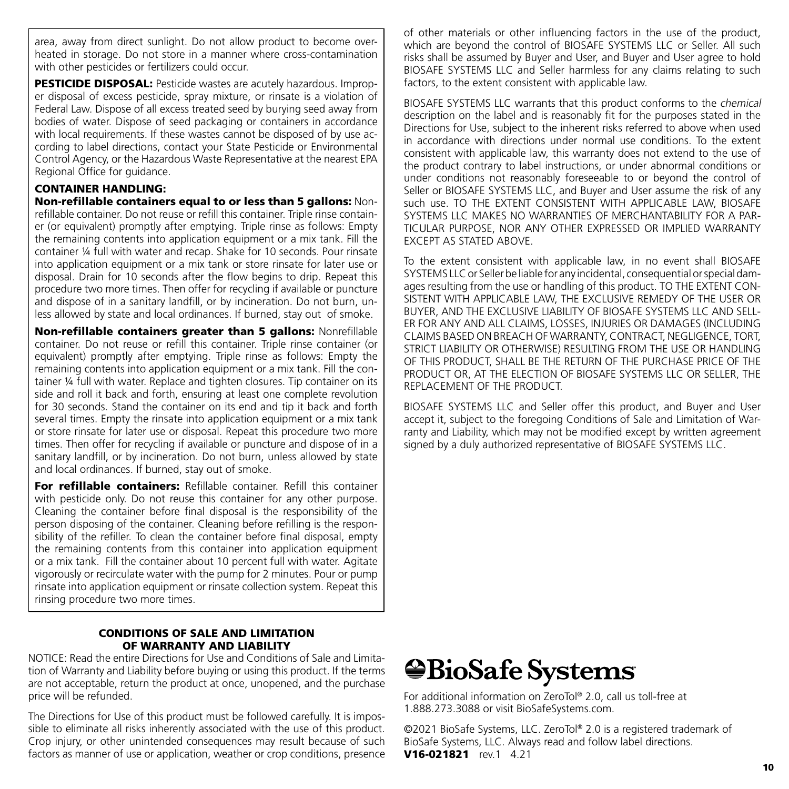area, away from direct sunlight. Do not allow product to become overheated in storage. Do not store in a manner where cross-contamination with other pesticides or fertilizers could occur.

**PESTICIDE DISPOSAL:** Pesticide wastes are acutely hazardous. Improper disposal of excess pesticide, spray mixture, or rinsate is a violation of Federal Law. Dispose of all excess treated seed by burying seed away from bodies of water. Dispose of seed packaging or containers in accordance with local requirements. If these wastes cannot be disposed of by use according to label directions, contact your State Pesticide or Environmental Control Agency, or the Hazardous Waste Representative at the nearest EPA Regional Office for guidance.

#### CONTAINER HANDLING:

Non-refillable containers equal to or less than 5 gallons: Nonrefillable container. Do not reuse or refill this container. Triple rinse container (or equivalent) promptly after emptying. Triple rinse as follows: Empty the remaining contents into application equipment or a mix tank. Fill the container ¼ full with water and recap. Shake for 10 seconds. Pour rinsate into application equipment or a mix tank or store rinsate for later use or disposal. Drain for 10 seconds after the flow begins to drip. Repeat this procedure two more times. Then offer for recycling if available or puncture and dispose of in a sanitary landfill, or by incineration. Do not burn, unless allowed by state and local ordinances. If burned, stay out of smoke.

Non-refillable containers greater than 5 gallons: Nonrefillable container. Do not reuse or refill this container. Triple rinse container (or equivalent) promptly after emptying. Triple rinse as follows: Empty the remaining contents into application equipment or a mix tank. Fill the container ¼ full with water. Replace and tighten closures. Tip container on its side and roll it back and forth, ensuring at least one complete revolution for 30 seconds. Stand the container on its end and tip it back and forth several times. Empty the rinsate into application equipment or a mix tank or store rinsate for later use or disposal. Repeat this procedure two more times. Then offer for recycling if available or puncture and dispose of in a sanitary landfill, or by incineration. Do not burn, unless allowed by state and local ordinances. If burned, stay out of smoke.

For refillable containers: Refillable container. Refill this container with pesticide only. Do not reuse this container for any other purpose. Cleaning the container before final disposal is the responsibility of the person disposing of the container. Cleaning before refilling is the responsibility of the refiller. To clean the container before final disposal, empty the remaining contents from this container into application equipment or a mix tank. Fill the container about 10 percent full with water. Agitate vigorously or recirculate water with the pump for 2 minutes. Pour or pump rinsate into application equipment or rinsate collection system. Repeat this rinsing procedure two more times.

#### CONDITIONS OF SALE AND LIMITATION OF WARRANTY AND LIABILITY

NOTICE: Read the entire Directions for Use and Conditions of Sale and Limitation of Warranty and Liability before buying or using this product. If the terms are not acceptable, return the product at once, unopened, and the purchase price will be refunded.

The Directions for Use of this product must be followed carefully. It is impossible to eliminate all risks inherently associated with the use of this product. Crop injury, or other unintended consequences may result because of such factors as manner of use or application, weather or crop conditions, presence

of other materials or other influencing factors in the use of the product, which are beyond the control of BIOSAFE SYSTEMS LLC or Seller. All such risks shall be assumed by Buyer and User, and Buyer and User agree to hold BIOSAFE SYSTEMS LLC and Seller harmless for any claims relating to such factors, to the extent consistent with applicable law.

BIOSAFE SYSTEMS LLC warrants that this product conforms to the chemical description on the label and is reasonably fit for the purposes stated in the Directions for Use, subject to the inherent risks referred to above when used in accordance with directions under normal use conditions. To the extent consistent with applicable law, this warranty does not extend to the use of the product contrary to label instructions, or under abnormal conditions or under conditions not reasonably foreseeable to or beyond the control of Seller or BIOSAFE SYSTEMS LLC, and Buyer and User assume the risk of any such use. TO THE EXTENT CONSISTENT WITH APPLICABLE LAW, BIOSAFE SYSTEMS LLC MAKES NO WARRANTIES OF MERCHANTABILITY FOR A PAR-TICULAR PURPOSE, NOR ANY OTHER EXPRESSED OR IMPLIED WARRANTY EXCEPT AS STATED ABOVE.

To the extent consistent with applicable law, in no event shall BIOSAFE SYSTEMS LLC or Seller be liable for any incidental, consequential or special damages resulting from the use or handling of this product. TO THE EXTENT CON-SISTENT WITH APPLICABLE LAW, THE EXCLUSIVE REMEDY OF THE USER OR BUYER, AND THE EXCLUSIVE LIABILITY OF BIOSAFE SYSTEMS LLC AND SELL-ER FOR ANY AND ALL CLAIMS, LOSSES, INJURIES OR DAMAGES (INCLUDING CLAIMS BASED ON BREACH OF WARRANTY, CONTRACT, NEGLIGENCE, TORT, STRICT LIABILITY OR OTHERWISE) RESULTING FROM THE USE OR HANDLING OF THIS PRODUCT, SHALL BE THE RETURN OF THE PURCHASE PRICE OF THE PRODUCT OR, AT THE ELECTION OF BIOSAFE SYSTEMS LLC OR SELLER, THE REPLACEMENT OF THE PRODUCT.

BIOSAFE SYSTEMS LLC and Seller offer this product, and Buyer and User accept it, subject to the foregoing Conditions of Sale and Limitation of Warranty and Liability, which may not be modified except by written agreement signed by a duly authorized representative of BIOSAFE SYSTEMS LLC.

## *<u>WBioSafe Systems</u>*

For additional information on ZeroTol® 2.0, call us toll-free at 1.888.273.3088 or visit BioSafeSystems.com.

©2021 BioSafe Systems, LLC. ZeroTol® 2.0 is a registered trademark of BioSafe Systems, LLC. Always read and follow label directions. V16-021821 rev.1 4.21